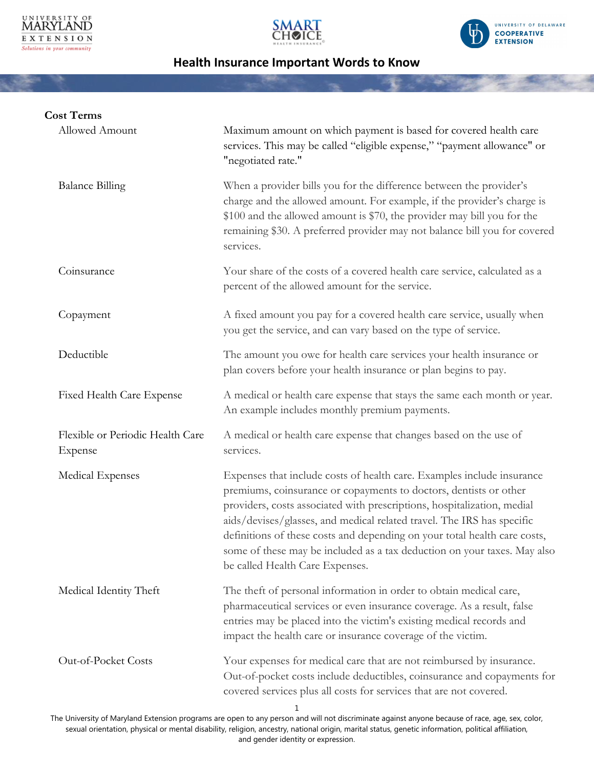





| <b>Cost Terms</b>                           |                                                                                                                                                                                                                                                                                                                                                                                                                                                                                              |
|---------------------------------------------|----------------------------------------------------------------------------------------------------------------------------------------------------------------------------------------------------------------------------------------------------------------------------------------------------------------------------------------------------------------------------------------------------------------------------------------------------------------------------------------------|
| Allowed Amount                              | Maximum amount on which payment is based for covered health care<br>services. This may be called "eligible expense," "payment allowance" or<br>"negotiated rate."                                                                                                                                                                                                                                                                                                                            |
| <b>Balance Billing</b>                      | When a provider bills you for the difference between the provider's<br>charge and the allowed amount. For example, if the provider's charge is<br>\$100 and the allowed amount is \$70, the provider may bill you for the<br>remaining \$30. A preferred provider may not balance bill you for covered<br>services.                                                                                                                                                                          |
| Coinsurance                                 | Your share of the costs of a covered health care service, calculated as a<br>percent of the allowed amount for the service.                                                                                                                                                                                                                                                                                                                                                                  |
| Copayment                                   | A fixed amount you pay for a covered health care service, usually when<br>you get the service, and can vary based on the type of service.                                                                                                                                                                                                                                                                                                                                                    |
| Deductible                                  | The amount you owe for health care services your health insurance or<br>plan covers before your health insurance or plan begins to pay.                                                                                                                                                                                                                                                                                                                                                      |
| <b>Fixed Health Care Expense</b>            | A medical or health care expense that stays the same each month or year.<br>An example includes monthly premium payments.                                                                                                                                                                                                                                                                                                                                                                    |
| Flexible or Periodic Health Care<br>Expense | A medical or health care expense that changes based on the use of<br>services.                                                                                                                                                                                                                                                                                                                                                                                                               |
| Medical Expenses                            | Expenses that include costs of health care. Examples include insurance<br>premiums, coinsurance or copayments to doctors, dentists or other<br>providers, costs associated with prescriptions, hospitalization, medial<br>aids/devises/glasses, and medical related travel. The IRS has specific<br>definitions of these costs and depending on your total health care costs,<br>some of these may be included as a tax deduction on your taxes. May also<br>be called Health Care Expenses. |
| Medical Identity Theft                      | The theft of personal information in order to obtain medical care,<br>pharmaceutical services or even insurance coverage. As a result, false<br>entries may be placed into the victim's existing medical records and<br>impact the health care or insurance coverage of the victim.                                                                                                                                                                                                          |
| Out-of-Pocket Costs                         | Your expenses for medical care that are not reimbursed by insurance.<br>Out-of-pocket costs include deductibles, coinsurance and copayments for<br>covered services plus all costs for services that are not covered.<br>1                                                                                                                                                                                                                                                                   |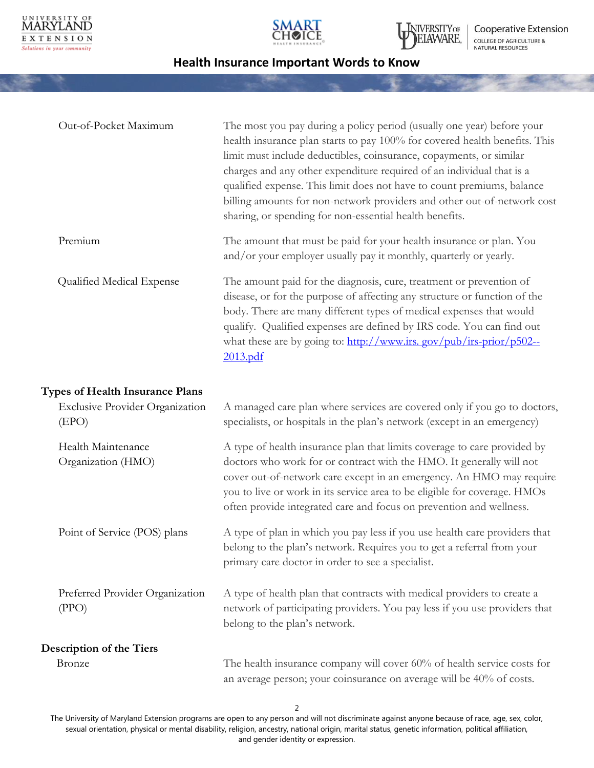





| Out-of-Pocket Maximum                           | The most you pay during a policy period (usually one year) before your<br>health insurance plan starts to pay 100% for covered health benefits. This<br>limit must include deductibles, coinsurance, copayments, or similar<br>charges and any other expenditure required of an individual that is a<br>qualified expense. This limit does not have to count premiums, balance<br>billing amounts for non-network providers and other out-of-network cost<br>sharing, or spending for non-essential health benefits. |
|-------------------------------------------------|----------------------------------------------------------------------------------------------------------------------------------------------------------------------------------------------------------------------------------------------------------------------------------------------------------------------------------------------------------------------------------------------------------------------------------------------------------------------------------------------------------------------|
| Premium                                         | The amount that must be paid for your health insurance or plan. You<br>and/or your employer usually pay it monthly, quarterly or yearly.                                                                                                                                                                                                                                                                                                                                                                             |
| Qualified Medical Expense                       | The amount paid for the diagnosis, cure, treatment or prevention of<br>disease, or for the purpose of affecting any structure or function of the<br>body. There are many different types of medical expenses that would<br>qualify. Qualified expenses are defined by IRS code. You can find out<br>what these are by going to: http://www.irs.gov/pub/irs-prior/p502--<br>2013.pdf                                                                                                                                  |
| <b>Types of Health Insurance Plans</b>          |                                                                                                                                                                                                                                                                                                                                                                                                                                                                                                                      |
| <b>Exclusive Provider Organization</b><br>(EPO) | A managed care plan where services are covered only if you go to doctors,<br>specialists, or hospitals in the plan's network (except in an emergency)                                                                                                                                                                                                                                                                                                                                                                |
| Health Maintenance<br>Organization (HMO)        | A type of health insurance plan that limits coverage to care provided by<br>doctors who work for or contract with the HMO. It generally will not<br>cover out-of-network care except in an emergency. An HMO may require<br>you to live or work in its service area to be eligible for coverage. HMOs<br>often provide integrated care and focus on prevention and wellness.                                                                                                                                         |
| Point of Service (POS) plans                    | A type of plan in which you pay less if you use health care providers that<br>belong to the plan's network. Requires you to get a referral from your<br>primary care doctor in order to see a specialist.                                                                                                                                                                                                                                                                                                            |
| Preferred Provider Organization<br>(PPO)        | A type of health plan that contracts with medical providers to create a<br>network of participating providers. You pay less if you use providers that<br>belong to the plan's network.                                                                                                                                                                                                                                                                                                                               |
| <b>Description of the Tiers</b>                 |                                                                                                                                                                                                                                                                                                                                                                                                                                                                                                                      |
| Bronze                                          | The health insurance company will cover 60% of health service costs for<br>an average person; your coinsurance on average will be 40% of costs.                                                                                                                                                                                                                                                                                                                                                                      |

2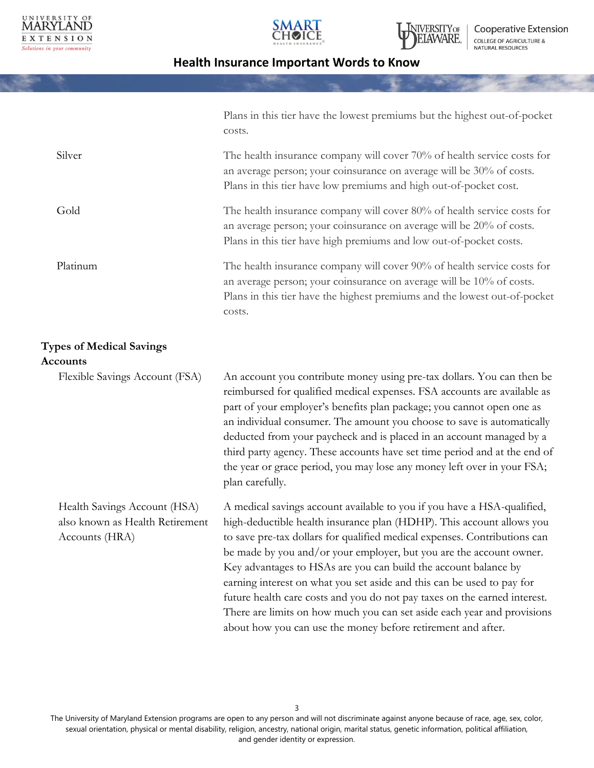





Cooperative Extension COLLEGE OF AGRICULTURE &<br>NATURAL RESOURCES

# **Health Insurance Important Words to Know**

|                                                                                   | Plans in this tier have the lowest premiums but the highest out-of-pocket<br>costs.                                                                                                                                                                                                                                                                                                                                                                                                                                                                                                                                                                                       |
|-----------------------------------------------------------------------------------|---------------------------------------------------------------------------------------------------------------------------------------------------------------------------------------------------------------------------------------------------------------------------------------------------------------------------------------------------------------------------------------------------------------------------------------------------------------------------------------------------------------------------------------------------------------------------------------------------------------------------------------------------------------------------|
| Silver                                                                            | The health insurance company will cover 70% of health service costs for<br>an average person; your coinsurance on average will be 30% of costs.<br>Plans in this tier have low premiums and high out-of-pocket cost.                                                                                                                                                                                                                                                                                                                                                                                                                                                      |
| Gold                                                                              | The health insurance company will cover 80% of health service costs for<br>an average person; your coinsurance on average will be 20% of costs.<br>Plans in this tier have high premiums and low out-of-pocket costs.                                                                                                                                                                                                                                                                                                                                                                                                                                                     |
| Platinum                                                                          | The health insurance company will cover 90% of health service costs for<br>an average person; your coinsurance on average will be 10% of costs.<br>Plans in this tier have the highest premiums and the lowest out-of-pocket<br>costs.                                                                                                                                                                                                                                                                                                                                                                                                                                    |
| <b>Types of Medical Savings</b><br><b>Accounts</b>                                |                                                                                                                                                                                                                                                                                                                                                                                                                                                                                                                                                                                                                                                                           |
| Flexible Savings Account (FSA)                                                    | An account you contribute money using pre-tax dollars. You can then be<br>reimbursed for qualified medical expenses. FSA accounts are available as<br>part of your employer's benefits plan package; you cannot open one as<br>an individual consumer. The amount you choose to save is automatically<br>deducted from your paycheck and is placed in an account managed by a<br>third party agency. These accounts have set time period and at the end of<br>the year or grace period, you may lose any money left over in your FSA;<br>plan carefully.                                                                                                                  |
| Health Savings Account (HSA)<br>also known as Health Retirement<br>Accounts (HRA) | A medical savings account available to you if you have a HSA-qualified,<br>high-deductible health insurance plan (HDHP). This account allows you<br>to save pre-tax dollars for qualified medical expenses. Contributions can<br>be made by you and/or your employer, but you are the account owner.<br>Key advantages to HSAs are you can build the account balance by<br>earning interest on what you set aside and this can be used to pay for<br>future health care costs and you do not pay taxes on the earned interest.<br>There are limits on how much you can set aside each year and provisions<br>about how you can use the money before retirement and after. |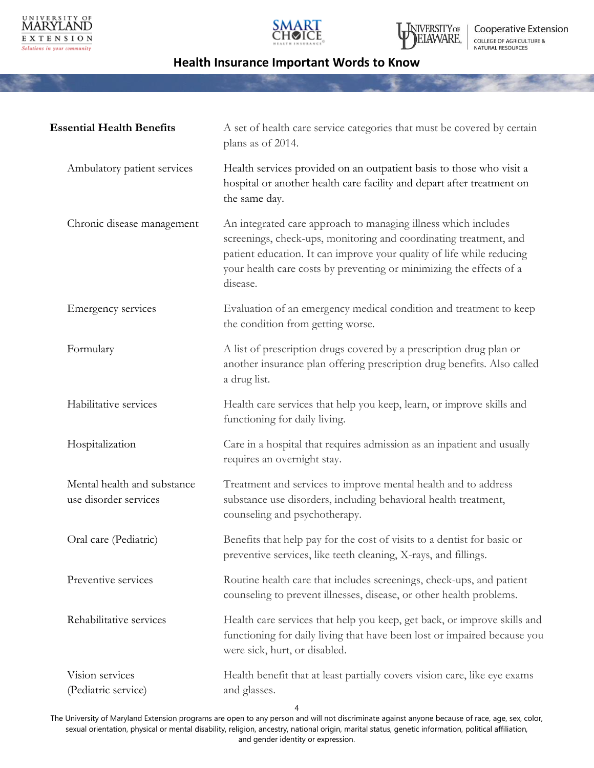





| <b>Essential Health Benefits</b>                     | A set of health care service categories that must be covered by certain<br>plans as of 2014.                                                                                                                                                                                                    |
|------------------------------------------------------|-------------------------------------------------------------------------------------------------------------------------------------------------------------------------------------------------------------------------------------------------------------------------------------------------|
| Ambulatory patient services                          | Health services provided on an outpatient basis to those who visit a<br>hospital or another health care facility and depart after treatment on<br>the same day.                                                                                                                                 |
| Chronic disease management                           | An integrated care approach to managing illness which includes<br>screenings, check-ups, monitoring and coordinating treatment, and<br>patient education. It can improve your quality of life while reducing<br>your health care costs by preventing or minimizing the effects of a<br>disease. |
| Emergency services                                   | Evaluation of an emergency medical condition and treatment to keep<br>the condition from getting worse.                                                                                                                                                                                         |
| Formulary                                            | A list of prescription drugs covered by a prescription drug plan or<br>another insurance plan offering prescription drug benefits. Also called<br>a drug list.                                                                                                                                  |
| Habilitative services                                | Health care services that help you keep, learn, or improve skills and<br>functioning for daily living.                                                                                                                                                                                          |
| Hospitalization                                      | Care in a hospital that requires admission as an inpatient and usually<br>requires an overnight stay.                                                                                                                                                                                           |
| Mental health and substance<br>use disorder services | Treatment and services to improve mental health and to address<br>substance use disorders, including behavioral health treatment,<br>counseling and psychotherapy.                                                                                                                              |
| Oral care (Pediatric)                                | Benefits that help pay for the cost of visits to a dentist for basic or<br>preventive services, like teeth cleaning, X-rays, and fillings.                                                                                                                                                      |
| Preventive services                                  | Routine health care that includes screenings, check-ups, and patient<br>counseling to prevent illnesses, disease, or other health problems.                                                                                                                                                     |
| Rehabilitative services                              | Health care services that help you keep, get back, or improve skills and<br>functioning for daily living that have been lost or impaired because you<br>were sick, hurt, or disabled.                                                                                                           |
| Vision services<br>(Pediatric service)               | Health benefit that at least partially covers vision care, like eye exams<br>and glasses.<br>4                                                                                                                                                                                                  |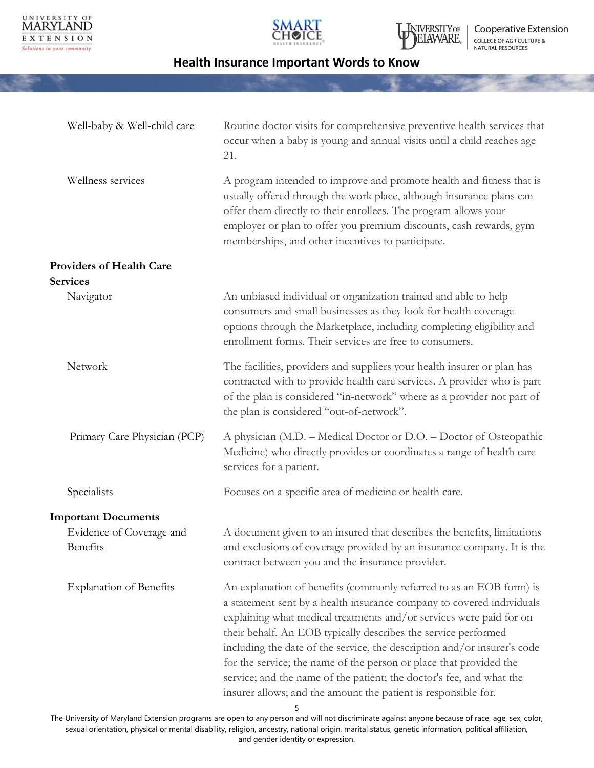





Cooperative Extension COLLEGE OF AGRICULTURE &<br>NATURAL RESOURCES

# **Health Insurance Important Words to Know**

| Well-baby & Well-child care          | Routine doctor visits for comprehensive preventive health services that<br>occur when a baby is young and annual visits until a child reaches age<br>21.                                                                                                                                                                                                                                                                                                                                                                                                                               |
|--------------------------------------|----------------------------------------------------------------------------------------------------------------------------------------------------------------------------------------------------------------------------------------------------------------------------------------------------------------------------------------------------------------------------------------------------------------------------------------------------------------------------------------------------------------------------------------------------------------------------------------|
| Wellness services                    | A program intended to improve and promote health and fitness that is<br>usually offered through the work place, although insurance plans can<br>offer them directly to their enrollees. The program allows your<br>employer or plan to offer you premium discounts, cash rewards, gym<br>memberships, and other incentives to participate.                                                                                                                                                                                                                                             |
| <b>Providers of Health Care</b>      |                                                                                                                                                                                                                                                                                                                                                                                                                                                                                                                                                                                        |
| <b>Services</b>                      |                                                                                                                                                                                                                                                                                                                                                                                                                                                                                                                                                                                        |
| Navigator                            | An unbiased individual or organization trained and able to help<br>consumers and small businesses as they look for health coverage<br>options through the Marketplace, including completing eligibility and<br>enrollment forms. Their services are free to consumers.                                                                                                                                                                                                                                                                                                                 |
| Network                              | The facilities, providers and suppliers your health insurer or plan has<br>contracted with to provide health care services. A provider who is part<br>of the plan is considered "in-network" where as a provider not part of<br>the plan is considered "out-of-network".                                                                                                                                                                                                                                                                                                               |
| Primary Care Physician (PCP)         | A physician (M.D. – Medical Doctor or D.O. – Doctor of Osteopathic<br>Medicine) who directly provides or coordinates a range of health care<br>services for a patient.                                                                                                                                                                                                                                                                                                                                                                                                                 |
| Specialists                          | Focuses on a specific area of medicine or health care.                                                                                                                                                                                                                                                                                                                                                                                                                                                                                                                                 |
| <b>Important Documents</b>           |                                                                                                                                                                                                                                                                                                                                                                                                                                                                                                                                                                                        |
| Evidence of Coverage and<br>Benefits | A document given to an insured that describes the benefits, limitations<br>and exclusions of coverage provided by an insurance company. It is the<br>contract between you and the insurance provider.                                                                                                                                                                                                                                                                                                                                                                                  |
| <b>Explanation of Benefits</b>       | An explanation of benefits (commonly referred to as an EOB form) is<br>a statement sent by a health insurance company to covered individuals<br>explaining what medical treatments and/or services were paid for on<br>their behalf. An EOB typically describes the service performed<br>including the date of the service, the description and/or insurer's code<br>for the service; the name of the person or place that provided the<br>service; and the name of the patient; the doctor's fee, and what the<br>insurer allows; and the amount the patient is responsible for.<br>5 |